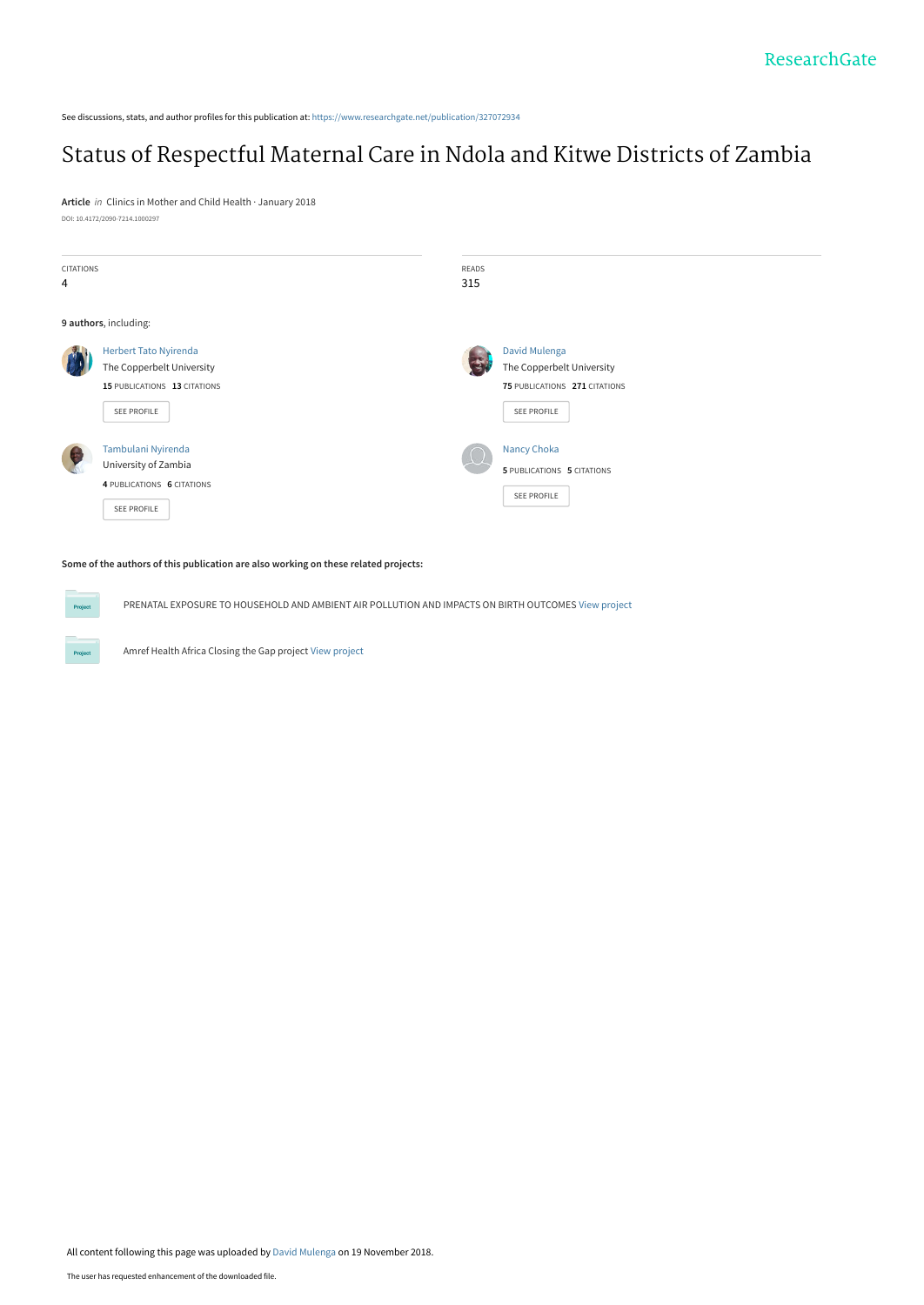See discussions, stats, and author profiles for this publication at: [https://www.researchgate.net/publication/327072934](https://www.researchgate.net/publication/327072934_Status_of_Respectful_Maternal_Care_in_Ndola_and_Kitwe_Districts_of_Zambia?enrichId=rgreq-183ef1eb46aaff451dcdaa6a019b1366-XXX&enrichSource=Y292ZXJQYWdlOzMyNzA3MjkzNDtBUzo2OTQ1ODU1Nzk4MDI2MjRAMTU0MjYxMzUxNTQyNw%3D%3D&el=1_x_2&_esc=publicationCoverPdf)

# [Status of Respectful Maternal Care in Ndola and Kitwe Districts of Zambia](https://www.researchgate.net/publication/327072934_Status_of_Respectful_Maternal_Care_in_Ndola_and_Kitwe_Districts_of_Zambia?enrichId=rgreq-183ef1eb46aaff451dcdaa6a019b1366-XXX&enrichSource=Y292ZXJQYWdlOzMyNzA3MjkzNDtBUzo2OTQ1ODU1Nzk4MDI2MjRAMTU0MjYxMzUxNTQyNw%3D%3D&el=1_x_3&_esc=publicationCoverPdf)

**Article** in Clinics in Mother and Child Health · January 2018 DOI: 10.4172/2090-7214.1000297

| CITATIONS |                                                                                         | READS                                                    |
|-----------|-----------------------------------------------------------------------------------------|----------------------------------------------------------|
| 4         |                                                                                         | 315                                                      |
|           | 9 authors, including:                                                                   |                                                          |
|           | <b>Herbert Tato Nyirenda</b><br>The Copperbelt University                               | David Mulenga<br>The Copperbelt University               |
|           | 15 PUBLICATIONS 13 CITATIONS<br>SEE PROFILE                                             | 75 PUBLICATIONS 271 CITATIONS<br>SEE PROFILE             |
| $\bullet$ | Tambulani Nyirenda<br>University of Zambia<br>4 PUBLICATIONS 6 CITATIONS<br>SEE PROFILE | Nancy Choka<br>5 PUBLICATIONS 5 CITATIONS<br>SEE PROFILE |

#### **Some of the authors of this publication are also working on these related projects:**

PRENATAL EXPOSURE TO HOUSEHOLD AND AMBIENT AIR POLLUTION AND IMPACTS ON BIRTH OUTCOMES [View project](https://www.researchgate.net/project/PRENATAL-EXPOSURE-TO-HOUSEHOLD-AND-AMBIENT-AIR-POLLUTION-AND-IMPACTS-ON-BIRTH-OUTCOMES?enrichId=rgreq-183ef1eb46aaff451dcdaa6a019b1366-XXX&enrichSource=Y292ZXJQYWdlOzMyNzA3MjkzNDtBUzo2OTQ1ODU1Nzk4MDI2MjRAMTU0MjYxMzUxNTQyNw%3D%3D&el=1_x_9&_esc=publicationCoverPdf)

Amref Health Africa Closing the Gap project [View project](https://www.researchgate.net/project/Amref-Health-Africa-Closing-the-Gap-project?enrichId=rgreq-183ef1eb46aaff451dcdaa6a019b1366-XXX&enrichSource=Y292ZXJQYWdlOzMyNzA3MjkzNDtBUzo2OTQ1ODU1Nzk4MDI2MjRAMTU0MjYxMzUxNTQyNw%3D%3D&el=1_x_9&_esc=publicationCoverPdf)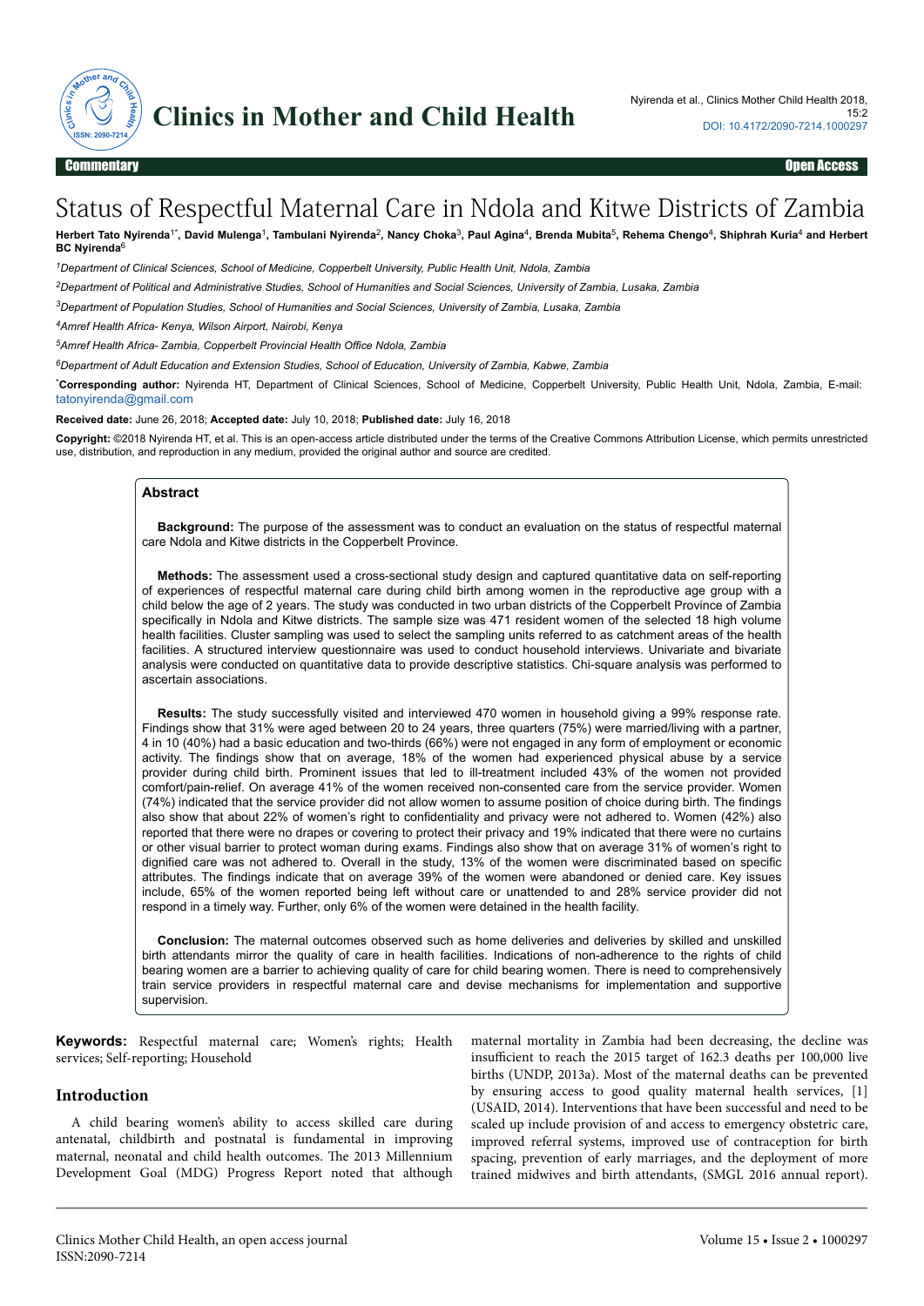

# Status of Respectful Maternal Care in Ndola and Kitwe Districts of Zambia

Herbert Tato Nyirenda<sup>1\*</sup>, David Mulenga<sup>1</sup>, Tambulani Nyirenda<sup>2</sup>, Nancy Choka<sup>3</sup>, Paul Agina<sup>4</sup>, Brenda Mubita<sup>5</sup>, Rehema Chengo<sup>4</sup>, Shiphrah Kuria<sup>4</sup> and Herbert **BC Nyirenda**<sup>6</sup>

*<sup>1</sup>Department of Clinical Sciences, School of Medicine, Copperbelt University, Public Health Unit, Ndola, Zambia*

*<sup>2</sup>Department of Political and Administrative Studies, School of Humanities and Social Sciences, University of Zambia, Lusaka, Zambia*

*<sup>3</sup>Department of Population Studies, School of Humanities and Social Sciences, University of Zambia, Lusaka, Zambia*

*<sup>4</sup>Amref Health Africa- Kenya, Wilson Airport, Nairobi, Kenya*

*<sup>5</sup>Amref Health Africa- Zambia, Copperbelt Provincial Health Office Ndola, Zambia*

*<sup>6</sup>Department of Adult Education and Extension Studies, School of Education, University of Zambia, Kabwe, Zambia*

\***Corresponding author:** Nyirenda HT, Department of Clinical Sciences, School of Medicine, Copperbelt University, Public Health Unit, Ndola, Zambia, E-mail: [tatonyirenda@gmail.com](mailto:tatonyirenda@gmail.com)

**Received date:** June 26, 2018; **Accepted date:** July 10, 2018; **Published date:** July 16, 2018

**Copyright:** ©2018 Nyirenda HT, et al. This is an open-access article distributed under the terms of the Creative Commons Attribution License, which permits unrestricted use, distribution, and reproduction in any medium, provided the original author and source are credited.

#### **Abstract**

**Background:** The purpose of the assessment was to conduct an evaluation on the status of respectful maternal care Ndola and Kitwe districts in the Copperbelt Province.

**Methods:** The assessment used a cross-sectional study design and captured quantitative data on self-reporting of experiences of respectful maternal care during child birth among women in the reproductive age group with a child below the age of 2 years. The study was conducted in two urban districts of the Copperbelt Province of Zambia specifically in Ndola and Kitwe districts. The sample size was 471 resident women of the selected 18 high volume health facilities. Cluster sampling was used to select the sampling units referred to as catchment areas of the health facilities. A structured interview questionnaire was used to conduct household interviews. Univariate and bivariate analysis were conducted on quantitative data to provide descriptive statistics. Chi-square analysis was performed to ascertain associations.

**Results:** The study successfully visited and interviewed 470 women in household giving a 99% response rate. Findings show that 31% were aged between 20 to 24 years, three quarters (75%) were married/living with a partner, 4 in 10 (40%) had a basic education and two-thirds (66%) were not engaged in any form of employment or economic activity. The findings show that on average, 18% of the women had experienced physical abuse by a service provider during child birth. Prominent issues that led to ill-treatment included 43% of the women not provided comfort/pain-relief. On average 41% of the women received non-consented care from the service provider. Women (74%) indicated that the service provider did not allow women to assume position of choice during birth. The findings also show that about 22% of women's right to confidentiality and privacy were not adhered to. Women (42%) also reported that there were no drapes or covering to protect their privacy and 19% indicated that there were no curtains or other visual barrier to protect woman during exams. Findings also show that on average 31% of women's right to dignified care was not adhered to. Overall in the study, 13% of the women were discriminated based on specific attributes. The findings indicate that on average 39% of the women were abandoned or denied care. Key issues include, 65% of the women reported being left without care or unattended to and 28% service provider did not respond in a timely way. Further, only 6% of the women were detained in the health facility.

**Conclusion:** The maternal outcomes observed such as home deliveries and deliveries by skilled and unskilled birth attendants mirror the quality of care in health facilities. Indications of non-adherence to the rights of child bearing women are a barrier to achieving quality of care for child bearing women. There is need to comprehensively train service providers in respectful maternal care and devise mechanisms for implementation and supportive supervision.

**Keywords:** Respectful maternal care; Women's rights; Health services; Self-reporting; Household

#### **Introduction**

A child bearing women's ability to access skilled care during antenatal, childbirth and postnatal is fundamental in improving maternal, neonatal and child health outcomes. Нe 2013 Millennium Development Goal (MDG) Progress Report noted that although maternal mortality in Zambia had been decreasing, the decline was insufficient to reach the 2015 target of 162.3 deaths per 100,000 live births (UNDP, 2013a). Most of the maternal deaths can be prevented by ensuring access to good quality maternal health services, [1] (USAID, 2014). Interventions that have been successful and need to be scaled up include provision of and access to emergency obstetric care, improved referral systems, improved use of contraception for birth spacing, prevention of early marriages, and the deployment of more trained midwives and birth attendants, (SMGL 2016 annual report).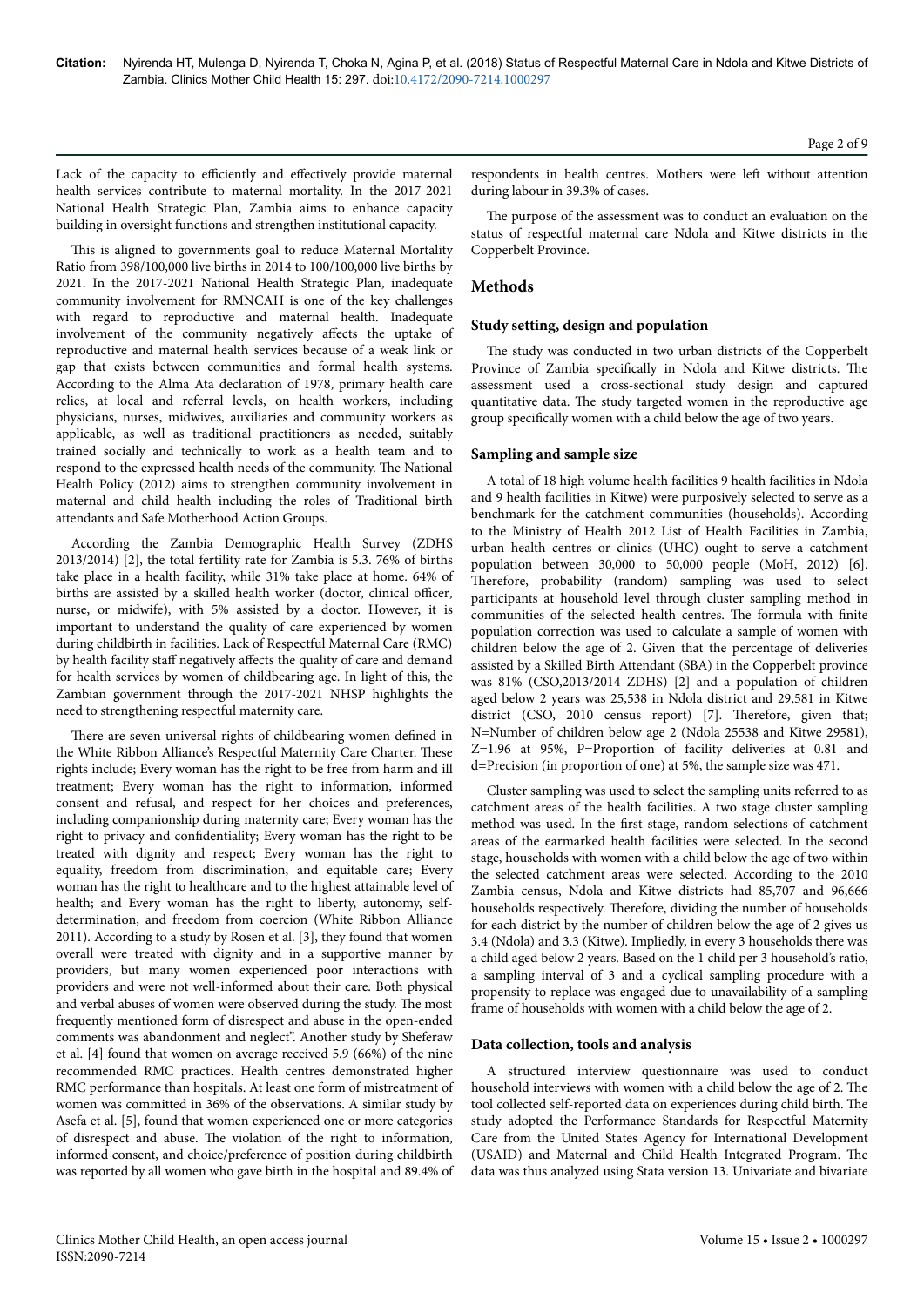Lack of the capacity to efficiently and effectively provide maternal health services contribute to maternal mortality. In the 2017-2021 National Health Strategic Plan, Zambia aims to enhance capacity building in oversight functions and strengthen institutional capacity.

This is aligned to governments goal to reduce Maternal Mortality Ratio from 398/100,000 live births in 2014 to 100/100,000 live births by 2021. In the 2017-2021 National Health Strategic Plan, inadequate community involvement for RMNCAH is one of the key challenges with regard to reproductive and maternal health. Inadequate involvement of the community negatively affects the uptake of reproductive and maternal health services because of a weak link or gap that exists between communities and formal health systems. According to the Alma Ata declaration of 1978, primary health care relies, at local and referral levels, on health workers, including physicians, nurses, midwives, auxiliaries and community workers as applicable, as well as traditional practitioners as needed, suitably trained socially and technically to work as a health team and to respond to the expressed health needs of the community. Нe National Health Policy (2012) aims to strengthen community involvement in maternal and child health including the roles of Traditional birth attendants and Safe Motherhood Action Groups.

According the Zambia Demographic Health Survey (ZDHS 2013/2014) [2], the total fertility rate for Zambia is 5.3. 76% of births take place in a health facility, while 31% take place at home. 64% of births are assisted by a skilled health worker (doctor, clinical officer, nurse, or midwife), with 5% assisted by a doctor. However, it is important to understand the quality of care experienced by women during childbirth in facilities. Lack of Respectful Maternal Care (RMC) by health facility staff negatively affects the quality of care and demand for health services by women of childbearing age. In light of this, the Zambian government through the 2017-2021 NHSP highlights the need to strengthening respectful maternity care.

There are seven universal rights of childbearing women defined in the White Ribbon Alliance's Respectful Maternity Care Charter. Нese rights include; Every woman has the right to be free from harm and ill treatment; Every woman has the right to information, informed consent and refusal, and respect for her choices and preferences, including companionship during maternity care; Every woman has the right to privacy and confidentiality; Every woman has the right to be treated with dignity and respect; Every woman has the right to equality, freedom from discrimination, and equitable care; Every woman has the right to healthcare and to the highest attainable level of health; and Every woman has the right to liberty, autonomy, selfdetermination, and freedom from coercion (White Ribbon Alliance 2011). According to a study by Rosen et al. [3], they found that women overall were treated with dignity and in a supportive manner by providers, but many women experienced poor interactions with providers and were not well-informed about their care. Both physical and verbal abuses of women were observed during the study. Нe most frequently mentioned form of disrespect and abuse in the open-ended comments was abandonment and neglect". Another study by Sheferaw et al. [4] found that women on average received 5.9 (66%) of the nine recommended RMC practices. Health centres demonstrated higher RMC performance than hospitals. At least one form of mistreatment of women was committed in 36% of the observations. A similar study by Asefa et al. [5], found that women experienced one or more categories of disrespect and abuse. Нe violation of the right to information, informed consent, and choice/preference of position during childbirth was reported by all women who gave birth in the hospital and 89.4% of respondents in health centres. Mothers were left without attention during labour in 39.3% of cases.

The purpose of the assessment was to conduct an evaluation on the status of respectful maternal care Ndola and Kitwe districts in the Copperbelt Province.

# **Methods**

# **Study setting, design and population**

The study was conducted in two urban districts of the Copperbelt Province of Zambia specifically in Ndola and Kitwe districts. The assessment used a cross-sectional study design and captured quantitative data. Нe study targeted women in the reproductive age group specifically women with a child below the age of two years.

#### **Sampling and sample size**

A total of 18 high volume health facilities 9 health facilities in Ndola and 9 health facilities in Kitwe) were purposively selected to serve as a benchmark for the catchment communities (households). According to the Ministry of Health 2012 List of Health Facilities in Zambia, urban health centres or clinics (UHC) ought to serve a catchment population between 30,000 to 50,000 people (MoH, 2012) [6]. Therefore, probability (random) sampling was used to select participants at household level through cluster sampling method in communities of the selected health centres. The formula with finite population correction was used to calculate a sample of women with children below the age of 2. Given that the percentage of deliveries assisted by a Skilled Birth Attendant (SBA) in the Copperbelt province was 81% (CSO,2013/2014 ZDHS) [2] and a population of children aged below 2 years was 25,538 in Ndola district and 29,581 in Kitwe district (CSO, 2010 census report) [7]. Therefore, given that; N=Number of children below age 2 (Ndola 25538 and Kitwe 29581), Z=1.96 at 95%, P=Proportion of facility deliveries at 0.81 and d=Precision (in proportion of one) at 5%, the sample size was 471.

Cluster sampling was used to select the sampling units referred to as catchment areas of the health facilities. A two stage cluster sampling method was used. In the first stage, random selections of catchment areas of the earmarked health facilities were selected. In the second stage, households with women with a child below the age of two within the selected catchment areas were selected. According to the 2010 Zambia census, Ndola and Kitwe districts had 85,707 and 96,666 households respectively. Нerefore, dividing the number of households for each district by the number of children below the age of 2 gives us 3.4 (Ndola) and 3.3 (Kitwe). Impliedly, in every 3 households there was a child aged below 2 years. Based on the 1 child per 3 household's ratio, a sampling interval of 3 and a cyclical sampling procedure with a propensity to replace was engaged due to unavailability of a sampling frame of households with women with a child below the age of 2.

# **Data collection, tools and analysis**

A structured interview questionnaire was used to conduct household interviews with women with a child below the age of 2. Нe tool collected self-reported data on experiences during child birth. Нe study adopted the Performance Standards for Respectful Maternity Care from the United States Agency for International Development (USAID) and Maternal and Child Health Integrated Program. Нe data was thus analyzed using Stata version 13. Univariate and bivariate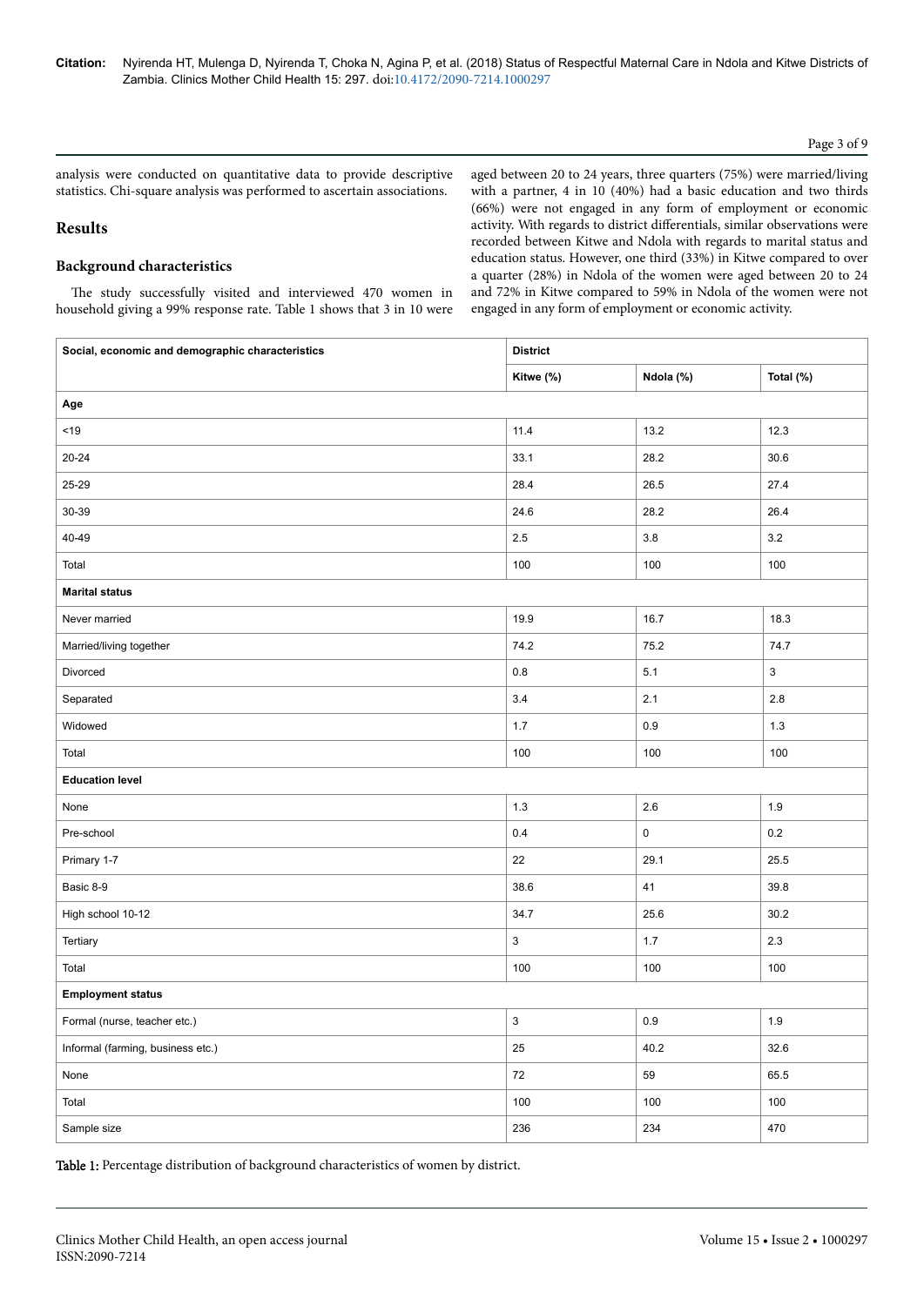# Page 3 of 9

analysis were conducted on quantitative data to provide descriptive statistics. Chi-square analysis was performed to ascertain associations.

## **Results**

# **Background characteristics**

The study successfully visited and interviewed 470 women in household giving a 99% response rate. Table 1 shows that 3 in 10 were aged between 20 to 24 years, three quarters (75%) were married/living with a partner, 4 in 10 (40%) had a basic education and two thirds (66%) were not engaged in any form of employment or economic activity. With regards to district differentials, similar observations were recorded between Kitwe and Ndola with regards to marital status and education status. However, one third (33%) in Kitwe compared to over a quarter (28%) in Ndola of the women were aged between 20 to 24 and 72% in Kitwe compared to 59% in Ndola of the women were not engaged in any form of employment or economic activity.

| Social, economic and demographic characteristics | <b>District</b>           |             |             |  |
|--------------------------------------------------|---------------------------|-------------|-------------|--|
|                                                  | Kitwe (%)                 | Ndola (%)   | Total (%)   |  |
| Age                                              |                           |             |             |  |
| $<19$                                            | 11.4                      | 13.2        | 12.3        |  |
| $20 - 24$                                        | 33.1                      | 28.2        | 30.6        |  |
| 25-29                                            | 28.4                      | 26.5        | 27.4        |  |
| 30-39                                            | 24.6                      | 28.2        | 26.4        |  |
| 40-49                                            | $2.5\,$                   | $3.8\,$     | $3.2\,$     |  |
| Total                                            | 100                       | 100         | 100         |  |
| <b>Marital status</b>                            |                           |             |             |  |
| Never married                                    | 19.9                      | 16.7        | 18.3        |  |
| Married/living together                          | 74.2                      | 75.2        | 74.7        |  |
| Divorced                                         | 0.8                       | 5.1         | $\mathsf 3$ |  |
| Separated                                        | $3.4$                     | 2.1         | $2.8\,$     |  |
| Widowed                                          | $1.7\,$                   | $0.9\,$     | 1.3         |  |
| Total                                            | 100                       | 100         | 100         |  |
| <b>Education level</b>                           |                           |             |             |  |
| None                                             | $1.3$                     | 2.6         | 1.9         |  |
| Pre-school                                       | $0.4\,$                   | $\mathsf 0$ | 0.2         |  |
| Primary 1-7                                      | 22                        | 29.1        | 25.5        |  |
| Basic 8-9                                        | 38.6                      | $41$        | 39.8        |  |
| High school 10-12                                | 34.7                      | 25.6        | 30.2        |  |
| Tertiary                                         | $\ensuremath{\mathsf{3}}$ | $1.7$       | $2.3\,$     |  |
| Total                                            | 100                       | 100         | 100         |  |
| <b>Employment status</b>                         |                           |             |             |  |
| Formal (nurse, teacher etc.)                     | $\ensuremath{\mathsf{3}}$ | 0.9         | $1.9$       |  |
| Informal (farming, business etc.)                | 25                        | 40.2        | 32.6        |  |
| None                                             | 72                        | 59          | 65.5        |  |
| Total                                            | 100                       | 100         | 100         |  |
| Sample size                                      | 236                       | 234         | 470         |  |

Table 1: Percentage distribution of background characteristics of women by district.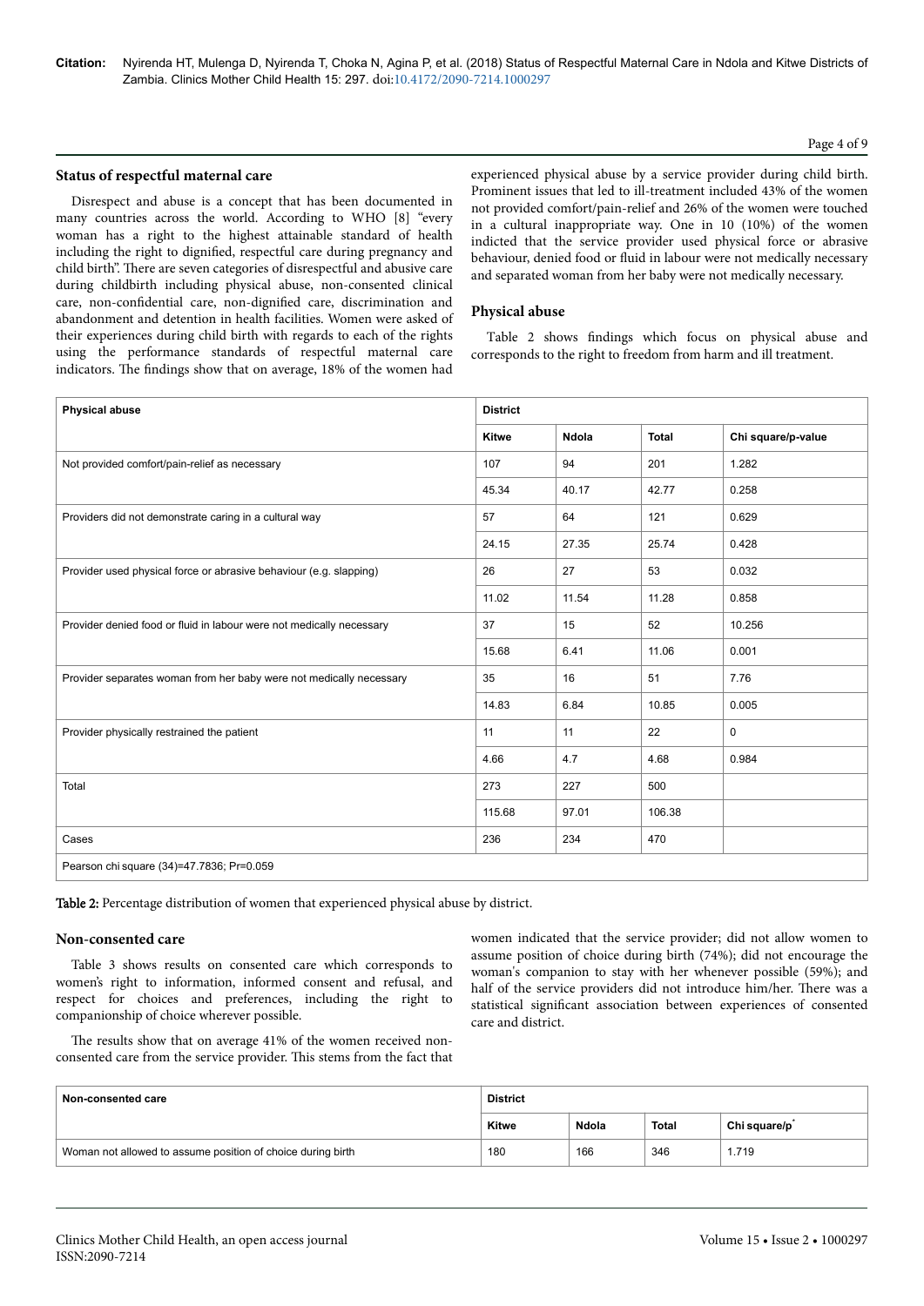## Page 4 of 9

# **Status of respectful maternal care**

Disrespect and abuse is a concept that has been documented in many countries across the world. According to WHO [8] "every woman has a right to the highest attainable standard of health including the right to dignified, respectful care during pregnancy and child birth". Нere are seven categories of disrespectful and abusive care during childbirth including physical abuse, non-consented clinical care, non-confidential care, non-dignified care, discrimination and abandonment and detention in health facilities. Women were asked of their experiences during child birth with regards to each of the rights using the performance standards of respectful maternal care indicators. The findings show that on average, 18% of the women had

experienced physical abuse by a service provider during child birth. Prominent issues that led to ill-treatment included 43% of the women not provided comfort/pain-relief and 26% of the women were touched in a cultural inappropriate way. One in 10 (10%) of the women indicted that the service provider used physical force or abrasive behaviour, denied food or fluid in labour were not medically necessary and separated woman from her baby were not medically necessary.

#### **Physical abuse**

Table 2 shows findings which focus on physical abuse and corresponds to the right to freedom from harm and ill treatment.

| <b>Physical abuse</b>                                                | <b>District</b> |       |              |                    |  |
|----------------------------------------------------------------------|-----------------|-------|--------------|--------------------|--|
|                                                                      | <b>Kitwe</b>    | Ndola | <b>Total</b> | Chi square/p-value |  |
| Not provided comfort/pain-relief as necessary                        | 107             | 94    | 201          | 1.282              |  |
|                                                                      | 45.34           | 40.17 | 42.77        | 0.258              |  |
| Providers did not demonstrate caring in a cultural way               | 57              | 64    | 121          | 0.629              |  |
|                                                                      | 24.15           | 27.35 | 25.74        | 0.428              |  |
| Provider used physical force or abrasive behaviour (e.g. slapping)   | 26              | 27    | 53           | 0.032              |  |
|                                                                      | 11.02           | 11.54 | 11.28        | 0.858              |  |
| Provider denied food or fluid in labour were not medically necessary | 37              | 15    | 52           | 10.256             |  |
|                                                                      | 15.68           | 6.41  | 11.06        | 0.001              |  |
| Provider separates woman from her baby were not medically necessary  | 35              | 16    | 51           | 7.76               |  |
|                                                                      | 14.83           | 6.84  | 10.85        | 0.005              |  |
| Provider physically restrained the patient                           | 11              | 11    | 22           | $\mathbf 0$        |  |
|                                                                      | 4.66            | 4.7   | 4.68         | 0.984              |  |
| Total                                                                | 273             | 227   | 500          |                    |  |
|                                                                      | 115.68          | 97.01 | 106.38       |                    |  |
| Cases                                                                | 236             | 234   | 470          |                    |  |
| Pearson chi square (34)=47.7836; Pr=0.059                            |                 |       |              |                    |  |

Table 2: Percentage distribution of women that experienced physical abuse by district.

#### **Non-consented care**

Table 3 shows results on consented care which corresponds to women's right to information, informed consent and refusal, and respect for choices and preferences, including the right to companionship of choice wherever possible.

women indicated that the service provider; did not allow women to assume position of choice during birth (74%); did not encourage the woman's companion to stay with her whenever possible (59%); and half of the service providers did not introduce him/her. Нere was a statistical significant association between experiences of consented care and district.

The results show that on average 41% of the women received nonconsented care from the service provider. This stems from the fact that

| Non-consented care                                          | <b>District</b> |       |              |                           |
|-------------------------------------------------------------|-----------------|-------|--------------|---------------------------|
|                                                             | Kitwe           | Ndola | <b>Total</b> | Chi square/p <sup>*</sup> |
| Woman not allowed to assume position of choice during birth | 180             | 166   | 346          | 1.719                     |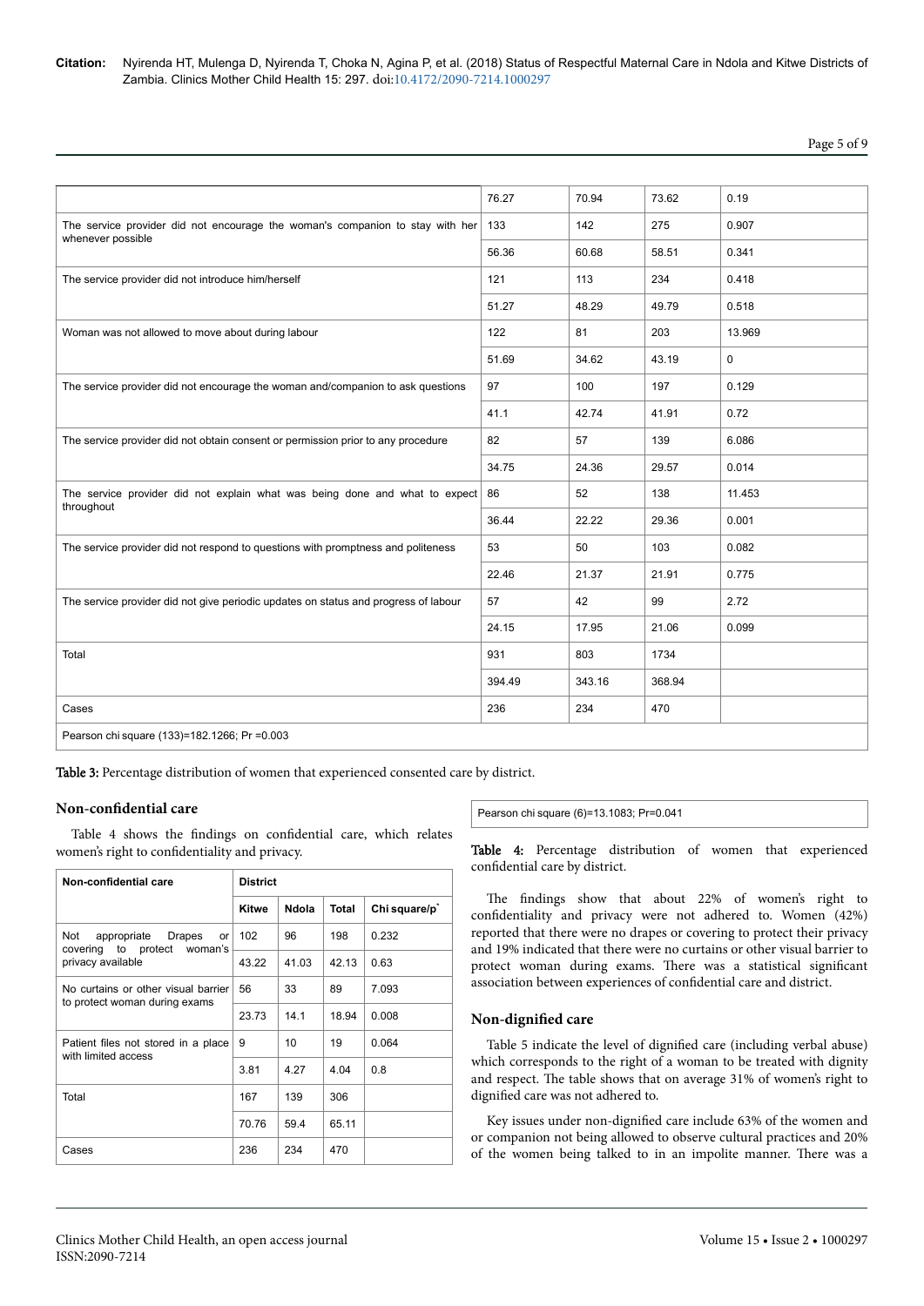Page 5 of 9

|                                                                                                    | 76.27  | 70.94  | 73.62  | 0.19   |
|----------------------------------------------------------------------------------------------------|--------|--------|--------|--------|
| The service provider did not encourage the woman's companion to stay with her<br>whenever possible | 133    | 142    | 275    | 0.907  |
|                                                                                                    | 56.36  | 60.68  | 58.51  | 0.341  |
| The service provider did not introduce him/herself                                                 | 121    | 113    | 234    | 0.418  |
|                                                                                                    | 51.27  | 48.29  | 49.79  | 0.518  |
| Woman was not allowed to move about during labour                                                  | 122    | 81     | 203    | 13.969 |
|                                                                                                    | 51.69  | 34.62  | 43.19  | 0      |
| The service provider did not encourage the woman and/companion to ask questions                    | 97     | 100    | 197    | 0.129  |
|                                                                                                    | 41.1   | 42.74  | 41.91  | 0.72   |
| The service provider did not obtain consent or permission prior to any procedure                   | 82     | 57     | 139    | 6.086  |
|                                                                                                    | 34.75  | 24.36  | 29.57  | 0.014  |
| The service provider did not explain what was being done and what to expect<br>throughout          | 86     | 52     | 138    | 11.453 |
|                                                                                                    | 36.44  | 22.22  | 29.36  | 0.001  |
| The service provider did not respond to questions with promptness and politeness                   | 53     | 50     | 103    | 0.082  |
|                                                                                                    | 22.46  | 21.37  | 21.91  | 0.775  |
| The service provider did not give periodic updates on status and progress of labour                | 57     | 42     | 99     | 2.72   |
|                                                                                                    | 24.15  | 17.95  | 21.06  | 0.099  |
| Total                                                                                              | 931    | 803    | 1734   |        |
|                                                                                                    | 394.49 | 343.16 | 368.94 |        |
| Cases                                                                                              | 236    | 234    | 470    |        |
| Pearson chi square (133)=182.1266; Pr = 0.003                                                      |        |        |        |        |

Table 3: Percentage distribution of women that experienced consented care by district.

#### **Non-confidential care**

Table 4 shows the findings on confidential care, which relates women's right to confidentiality and privacy.

| Non-confidential care                                                | <b>District</b>                   |       |              |                           |
|----------------------------------------------------------------------|-----------------------------------|-------|--------------|---------------------------|
|                                                                      | <b>Kitwe</b>                      | Ndola | <b>Total</b> | Chi square/p <sup>*</sup> |
| Not<br>appropriate<br>Drapes<br>or<br>covering to protect woman's    | 102                               | 96    | 198          | 0.232                     |
| privacy available                                                    | 43.22<br>56<br>23.73<br>9<br>3.81 | 41.03 | 42.13        | 0.63                      |
| No curtains or other visual barrier<br>to protect woman during exams |                                   | 33    | 89           | 7.093                     |
|                                                                      |                                   | 14.1  | 18.94        | 0.008                     |
| Patient files not stored in a place<br>with limited access           |                                   | 10    | 19           | 0.064                     |
|                                                                      |                                   | 4.27  | 4.04         | 0.8                       |
| Total                                                                | 167                               | 139   | 306          |                           |
|                                                                      | 70.76                             | 59.4  | 65.11        |                           |
| Cases                                                                | 236                               | 234   | 470          |                           |

Pearson chi square (6)=13.1083; Pr=0.041

Table 4: Percentage distribution of women that experienced confidential care by district.

The findings show that about 22% of women's right to confidentiality and privacy were not adhered to. Women (42%) reported that there were no drapes or covering to protect their privacy and 19% indicated that there were no curtains or other visual barrier to protect woman during exams. There was a statistical significant association between experiences of confidential care and district.

#### **Non-dignified** care

Table 5 indicate the level of dignified care (including verbal abuse) which corresponds to the right of a woman to be treated with dignity and respect. Нe table shows that on average 31% of women's right to dignified care was not adhered to.

Key issues under non-dignified care include 63% of the women and or companion not being allowed to observe cultural practices and 20% of the women being talked to in an impolite manner. Нere was a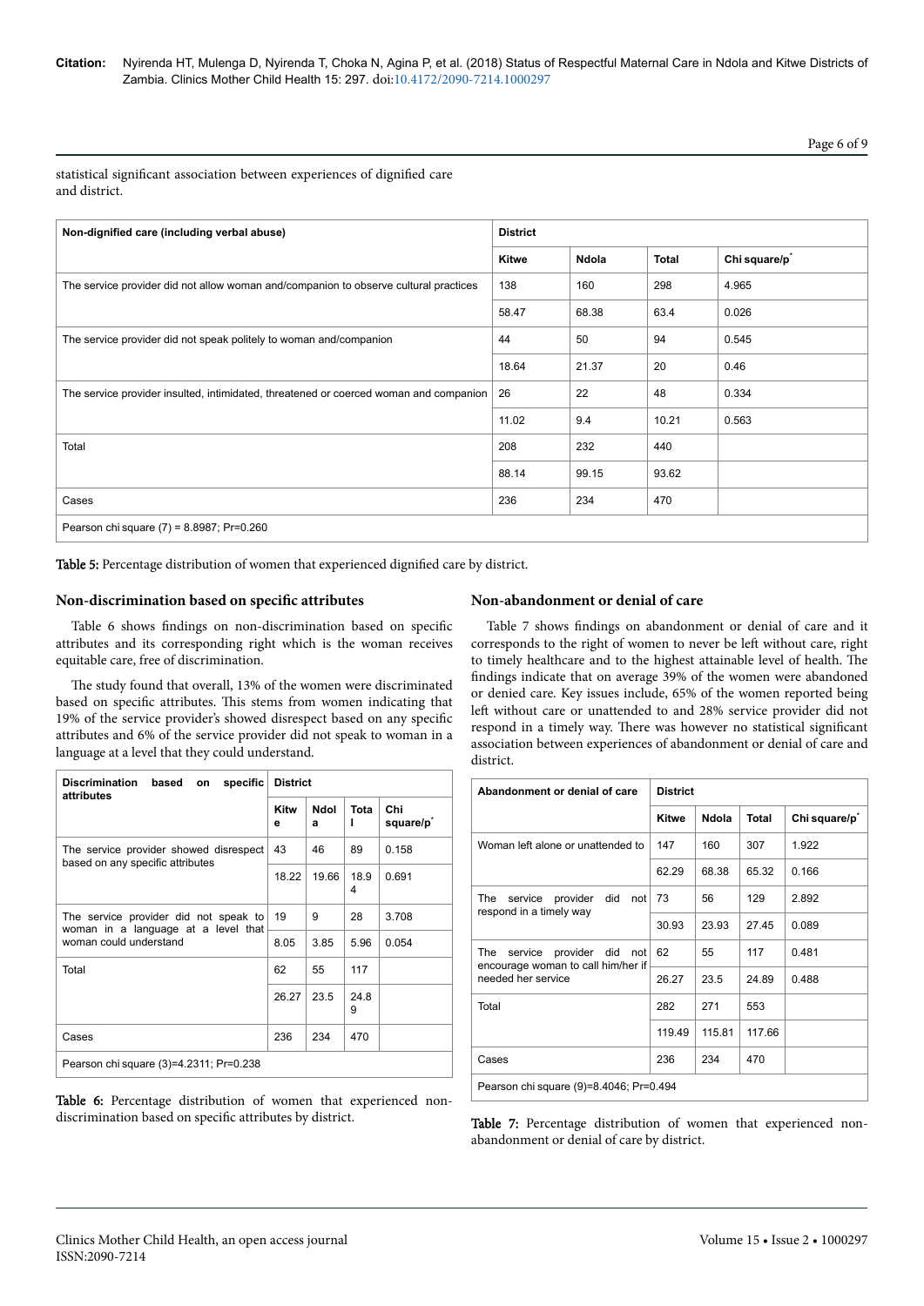Page 6 of 9

statistical significant association between experiences of dignified care and district.

| Non-dignified care (including verbal abuse)                                           | <b>District</b> |       |              |                           |
|---------------------------------------------------------------------------------------|-----------------|-------|--------------|---------------------------|
|                                                                                       | <b>Kitwe</b>    | Ndola | <b>Total</b> | Chi square/p <sup>*</sup> |
| The service provider did not allow woman and/companion to observe cultural practices  | 138             | 160   | 298          | 4.965                     |
|                                                                                       | 58.47           | 68.38 | 63.4         | 0.026                     |
| The service provider did not speak politely to woman and/companion                    | 44              | 50    | 94           | 0.545                     |
|                                                                                       | 18.64           | 21.37 | 20           | 0.46                      |
| The service provider insulted, intimidated, threatened or coerced woman and companion | 26              | 22    | 48           | 0.334                     |
|                                                                                       | 11.02           | 9.4   | 10.21        | 0.563                     |
| Total                                                                                 | 208             | 232   | 440          |                           |
|                                                                                       | 88.14           | 99.15 | 93.62        |                           |
| Cases                                                                                 | 236             | 234   | 470          |                           |
| Pearson chi square (7) = 8.8987; Pr=0.260                                             |                 |       |              |                           |

Table 5: Percentage distribution of women that experienced dignified care by district.

# **Non-discrimination based on specific attributes**

Table 6 shows findings on non-discrimination based on specific attributes and its corresponding right which is the woman receives equitable care, free of discrimination.

The study found that overall, 13% of the women were discriminated based on specific attributes. This stems from women indicating that 19% of the service provider's showed disrespect based on any specific attributes and 6% of the service provider did not speak to woman in a language at a level that they could understand.

| Discrimination based<br>specific<br>on<br>attributes                         |           | <b>District</b> |           |                              |  |  |
|------------------------------------------------------------------------------|-----------|-----------------|-----------|------------------------------|--|--|
|                                                                              | Kitw<br>е | Ndol<br>a       | Tota      | Chi<br>square/p <sup>*</sup> |  |  |
| The service provider showed disrespect<br>based on any specific attributes   |           | 46              | 89        | 0.158                        |  |  |
|                                                                              | 18.22     | 19.66           | 18.9<br>4 | 0.691                        |  |  |
| The service provider did not speak to<br>woman in a language at a level that |           | 9               | 28        | 3.708                        |  |  |
| woman could understand                                                       | 8.05      | 3.85            | 5.96      | 0.054                        |  |  |
| Total                                                                        | 62        | 55              | 117       |                              |  |  |
|                                                                              | 26.27     | 23.5            | 24.8<br>9 |                              |  |  |
| Cases                                                                        | 236       | 234             | 470       |                              |  |  |
| Pearson chi square (3)=4.2311; Pr=0.238                                      |           |                 |           |                              |  |  |

Table 6: Percentage distribution of women that experienced nondiscrimination based on specific attributes by district.

# **Non-abandonment or denial of care**

Table 7 shows findings on abandonment or denial of care and it corresponds to the right of women to never be left without care, right to timely healthcare and to the highest attainable level of health. Нe findings indicate that on average 39% of the women were abandoned or denied care. Key issues include, 65% of the women reported being left without care or unattended to and 28% service provider did not respond in a timely way. There was however no statistical significant association between experiences of abandonment or denial of care and district.

| Abandonment or denial of care                                                  | <b>District</b>                                                                                |       |       |                           |  |  |
|--------------------------------------------------------------------------------|------------------------------------------------------------------------------------------------|-------|-------|---------------------------|--|--|
|                                                                                | <b>Kitwe</b>                                                                                   | Ndola | Total | Chi square/p <sup>*</sup> |  |  |
| Woman left alone or unattended to                                              | 147                                                                                            | 160   | 307   | 1.922                     |  |  |
|                                                                                | 62.29                                                                                          | 68.38 | 65.32 | 0.166                     |  |  |
| did<br>The<br>service provider<br>not<br>respond in a timely way               | 73                                                                                             | 56    | 129   | 2.892                     |  |  |
|                                                                                | 30.93                                                                                          | 23.93 | 27.45 | 0.089                     |  |  |
| service<br>provider<br>did<br>The<br>not<br>encourage woman to call him/her if | 62                                                                                             | 55    | 117   | 0.481                     |  |  |
| needed her service                                                             | 26.27<br>23.5<br>24.89<br>282<br>271<br>553<br>117.66<br>119.49<br>115.81<br>236<br>234<br>470 | 0.488 |       |                           |  |  |
| Total                                                                          |                                                                                                |       |       |                           |  |  |
|                                                                                |                                                                                                |       |       |                           |  |  |
| Cases                                                                          |                                                                                                |       |       |                           |  |  |
| Pearson chi square (9)=8.4046; Pr=0.494                                        |                                                                                                |       |       |                           |  |  |

Table 7: Percentage distribution of women that experienced nonabandonment or denial of care by district.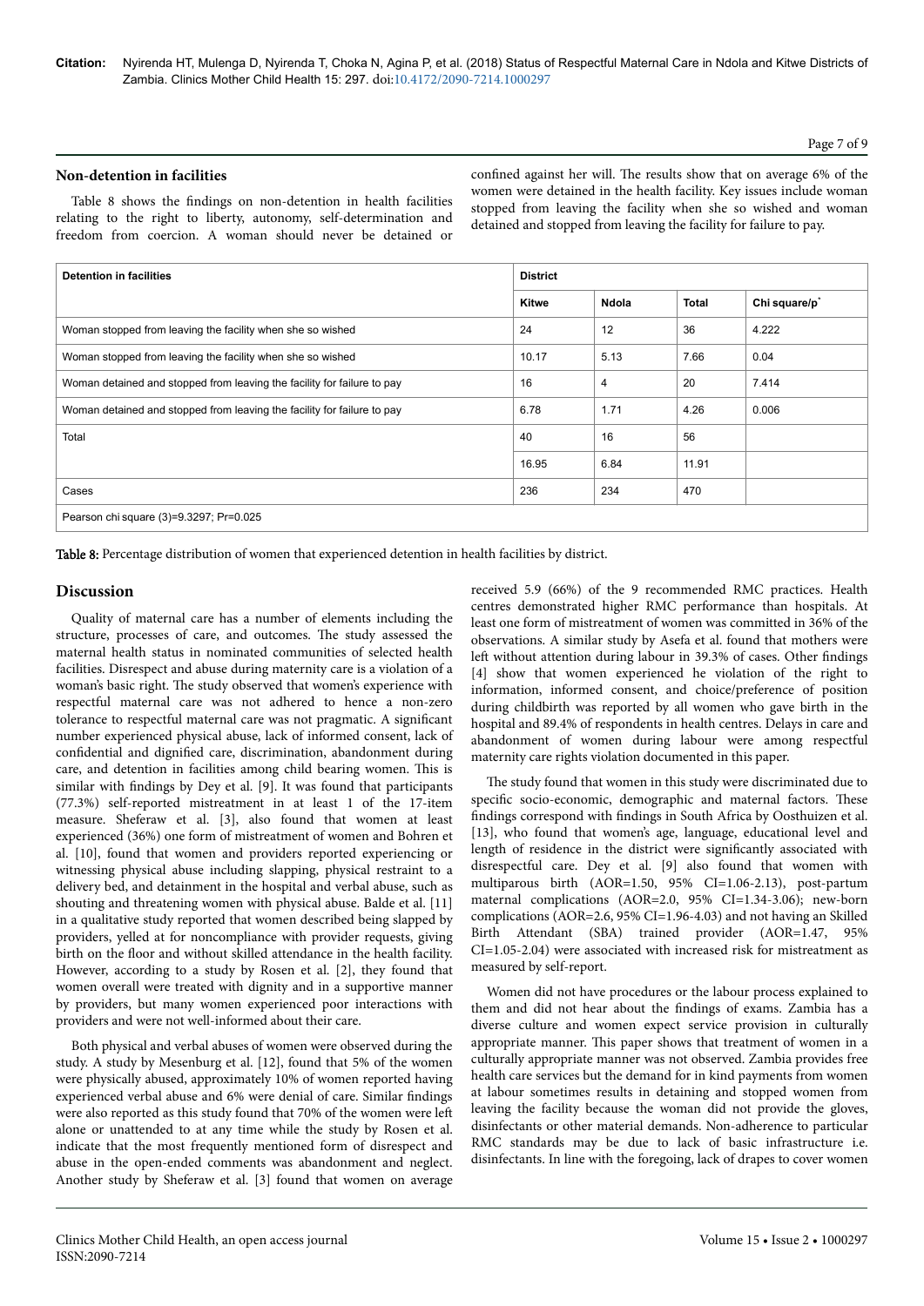#### Page 7 of 9

#### **Non-detention in facilities**

Table 8 shows the findings on non-detention in health facilities relating to the right to liberty, autonomy, self-determination and freedom from coercion. A woman should never be detained or

confined against her will. Нe results show that on average 6% of the women were detained in the health facility. Key issues include woman stopped from leaving the facility when she so wished and woman detained and stopped from leaving the facility for failure to pay.

| <b>Detention in facilities</b>                                          | <b>District</b> |       |              |                           |
|-------------------------------------------------------------------------|-----------------|-------|--------------|---------------------------|
|                                                                         | <b>Kitwe</b>    | Ndola | <b>Total</b> | Chi square/p <sup>*</sup> |
| Woman stopped from leaving the facility when she so wished              | 24              | 12    | 36           | 4.222                     |
| Woman stopped from leaving the facility when she so wished              | 10.17           | 5.13  | 7.66         | 0.04                      |
| Woman detained and stopped from leaving the facility for failure to pay | 16              | 4     | 20           | 7.414                     |
| Woman detained and stopped from leaving the facility for failure to pay | 6.78            | 1.71  | 4.26         | 0.006                     |
| Total                                                                   | 40              | 16    | 56           |                           |
|                                                                         | 16.95           | 6.84  | 11.91        |                           |
| Cases                                                                   | 236             | 234   | 470          |                           |
| Pearson chi square (3)=9.3297; Pr=0.025                                 |                 |       |              |                           |

Table 8: Percentage distribution of women that experienced detention in health facilities by district.

## **Discussion**

Quality of maternal care has a number of elements including the structure, processes of care, and outcomes. Нe study assessed the maternal health status in nominated communities of selected health facilities. Disrespect and abuse during maternity care is a violation of a woman's basic right. Нe study observed that women's experience with respectful maternal care was not adhered to hence a non-zero tolerance to respectful maternal care was not pragmatic. A significant number experienced physical abuse, lack of informed consent, lack of confidential and dignified care, discrimination, abandonment during care, and detention in facilities among child bearing women. This is similar with findings by Dey et al. [9]. It was found that participants (77.3%) self-reported mistreatment in at least 1 of the 17-item measure. Sheferaw et al. [3], also found that women at least experienced (36%) one form of mistreatment of women and Bohren et al. [10], found that women and providers reported experiencing or witnessing physical abuse including slapping, physical restraint to a delivery bed, and detainment in the hospital and verbal abuse, such as shouting and threatening women with physical abuse. Balde et al. [11] in a qualitative study reported that women described being slapped by providers, yelled at for noncompliance with provider requests, giving birth on the floor and without skilled attendance in the health facility. However, according to a study by Rosen et al. [2], they found that women overall were treated with dignity and in a supportive manner by providers, but many women experienced poor interactions with providers and were not well-informed about their care.

Both physical and verbal abuses of women were observed during the study. A study by Mesenburg et al. [12], found that 5% of the women were physically abused, approximately 10% of women reported having experienced verbal abuse and 6% were denial of care. Similar findings were also reported as this study found that 70% of the women were left alone or unattended to at any time while the study by Rosen et al. indicate that the most frequently mentioned form of disrespect and abuse in the open-ended comments was abandonment and neglect. Another study by Sheferaw et al. [3] found that women on average received 5.9 (66%) of the 9 recommended RMC practices. Health centres demonstrated higher RMC performance than hospitals. At least one form of mistreatment of women was committed in 36% of the observations. A similar study by Asefa et al. found that mothers were left without attention during labour in 39.3% of cases. Other findings [4] show that women experienced he violation of the right to information, informed consent, and choice/preference of position during childbirth was reported by all women who gave birth in the hospital and 89.4% of respondents in health centres. Delays in care and abandonment of women during labour were among respectful maternity care rights violation documented in this paper.

The study found that women in this study were discriminated due to specific socio-economic, demographic and maternal factors. These findings correspond with findings in South Africa by Oosthuizen et al. [13], who found that women's age, language, educational level and length of residence in the district were significantly associated with disrespectful care. Dey et al. [9] also found that women with multiparous birth (AOR=1.50, 95% CI=1.06-2.13), post-partum maternal complications (AOR=2.0, 95% CI=1.34-3.06); new-born complications (AOR=2.6, 95% CI=1.96-4.03) and not having an Skilled Birth Attendant (SBA) trained provider (AOR=1.47, 95% CI=1.05-2.04) were associated with increased risk for mistreatment as measured by self-report.

Women did not have procedures or the labour process explained to them and did not hear about the findings of exams. Zambia has a diverse culture and women expect service provision in culturally appropriate manner. This paper shows that treatment of women in a culturally appropriate manner was not observed. Zambia provides free health care services but the demand for in kind payments from women at labour sometimes results in detaining and stopped women from leaving the facility because the woman did not provide the gloves, disinfectants or other material demands. Non-adherence to particular RMC standards may be due to lack of basic infrastructure i.e. disinfectants. In line with the foregoing, lack of drapes to cover women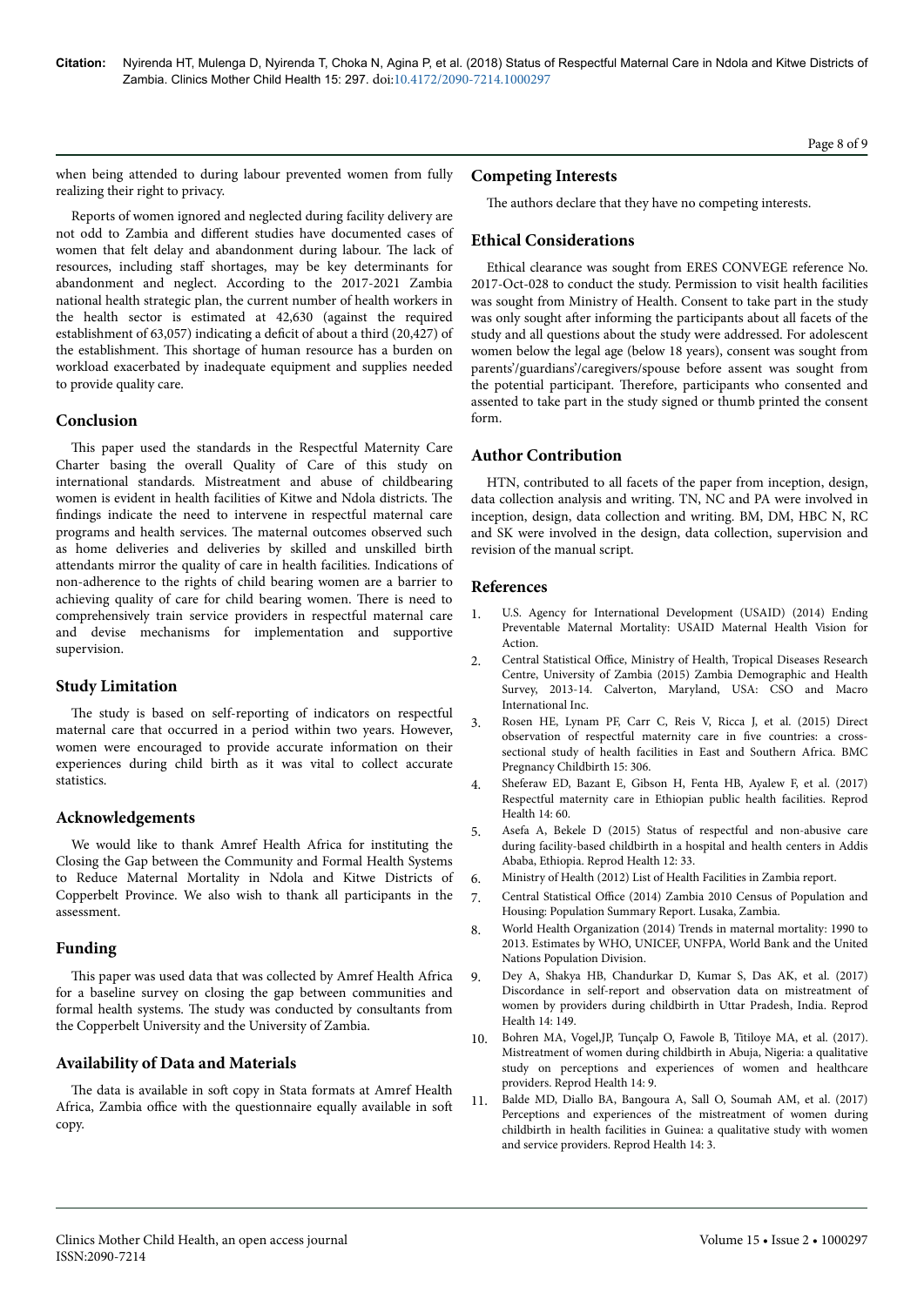when being attended to during labour prevented women from fully realizing their right to privacy.

Reports of women ignored and neglected during facility delivery are not odd to Zambia and different studies have documented cases of women that felt delay and abandonment during labour. Нe lack of resources, including staff shortages, may be key determinants for abandonment and neglect. According to the 2017-2021 Zambia national health strategic plan, the current number of health workers in the health sector is estimated at 42,630 (against the required establishment of 63,057) indicating a deficit of about a third (20,427) of the establishment. This shortage of human resource has a burden on workload exacerbated by inadequate equipment and supplies needed to provide quality care.

# **Conclusion**

This paper used the standards in the Respectful Maternity Care Charter basing the overall Quality of Care of this study on international standards. Mistreatment and abuse of childbearing women is evident in health facilities of Kitwe and Ndola districts. Нe findings indicate the need to intervene in respectful maternal care programs and health services. Нe maternal outcomes observed such as home deliveries and deliveries by skilled and unskilled birth attendants mirror the quality of care in health facilities. Indications of non-adherence to the rights of child bearing women are a barrier to achieving quality of care for child bearing women. Нere is need to comprehensively train service providers in respectful maternal care and devise mechanisms for implementation and supportive supervision.

# **Study Limitation**

The study is based on self-reporting of indicators on respectful maternal care that occurred in a period within two years. However, women were encouraged to provide accurate information on their experiences during child birth as it was vital to collect accurate statistics.

# **Acknowledgements**

We would like to thank Amref Health Africa for instituting the Closing the Gap between the Community and Formal Health Systems to Reduce Maternal Mortality in Ndola and Kitwe Districts of Copperbelt Province. We also wish to thank all participants in the assessment.

# **Funding**

This paper was used data that was collected by Amref Health Africa for a baseline survey on closing the gap between communities and formal health systems. Нe study was conducted by consultants from the Copperbelt University and the University of Zambia.

# **Availability of Data and Materials**

The data is available in soft copy in Stata formats at Amref Health Africa, Zambia office with the questionnaire equally available in soft copy.

## **Competing Interests**

The authors declare that they have no competing interests.

# **Ethical Considerations**

Ethical clearance was sought from ERES CONVEGE reference No. 2017-Oct-028 to conduct the study. Permission to visit health facilities was sought from Ministry of Health. Consent to take part in the study was only sought after informing the participants about all facets of the study and all questions about the study were addressed. For adolescent women below the legal age (below 18 years), consent was sought from parents'/guardians'/caregivers/spouse before assent was sought from the potential participant. Нerefore, participants who consented and assented to take part in the study signed or thumb printed the consent form.

# **Author Contribution**

HTN, contributed to all facets of the paper from inception, design, data collection analysis and writing. TN, NC and PA were involved in inception, design, data collection and writing. BM, DM, HBC N, RC and SK were involved in the design, data collection, supervision and revision of the manual script.

## **References**

- 1. U.S. Agency for International Development (USAID) (2014) Ending Preventable Maternal Mortality: USAID Maternal Health Vision for Action.
- 2. Central Statistical Office, Ministry of Health, Tropical Diseases Research Centre, University of Zambia (2015) Zambia Demographic and Health Survey, 2013-14. Calverton, Maryland, USA: CSO and Macro International Inc.
- 3. [Rosen HE, Lynam PF, Carr C, Reis V, Ricca J, et al. \(2015\) Direct](https://dx.doi.org/10.1186%2Fs12884-015-0728-4) [observation of respectful maternity care in](https://dx.doi.org/10.1186%2Fs12884-015-0728-4) five countries: a cross[sectional study of health facilities in East and Southern Africa. BMC](https://dx.doi.org/10.1186%2Fs12884-015-0728-4) [Pregnancy Childbirth 15: 306.](https://dx.doi.org/10.1186%2Fs12884-015-0728-4)
- 4. [Sheferaw ED, Bazant E, Gibson H, Fenta HB, Ayalew F, et al. \(2017\)](https://doi.org/10.1186/s12978-017-0323-4) [Respectful maternity care in Ethiopian public health facilities. Reprod](https://doi.org/10.1186/s12978-017-0323-4) [Health 14: 60.](https://doi.org/10.1186/s12978-017-0323-4)
- 5. [Asefa A, Bekele D \(2015\) Status of respectful and non-abusive care](https://doi.org/10.1186/s12978-015-0024-9) [during facility-based childbirth in a hospital and health centers in Addis](https://doi.org/10.1186/s12978-015-0024-9) [Ababa, Ethiopia. Reprod Health 12: 33.](https://doi.org/10.1186/s12978-015-0024-9)
- 6. Ministry of Health (2012) List of Health Facilities in Zambia report.
- 7. Central Statistical Office (2014) Zambia 2010 Census of Population and Housing: Population Summary Report. Lusaka, Zambia.
- 8. World Health Organization (2014) Trends in maternal mortality: 1990 to 2013. Estimates by WHO, UNICEF, UNFPA, World Bank and the United Nations Population Division.
- 9. [Dey A, Shakya HB, Chandurkar D, Kumar S, Das AK, et al. \(2017\)](https://doi.org/10.1186/s12978-017-0409-z) [Discordance in self-report and observation data on mistreatment of](https://doi.org/10.1186/s12978-017-0409-z) [women by providers during childbirth in Uttar Pradesh, India. Reprod](https://doi.org/10.1186/s12978-017-0409-z) [Health 14: 149.](https://doi.org/10.1186/s12978-017-0409-z)
- 10. [Bohren MA, Vogel,JP, Tunçalp O, Fawole B, Titiloye MA, et al. \(2017\).](https://dx.doi.org/10.1186%2Fs12978-016-0265-2) [Mistreatment of women during childbirth in Abuja, Nigeria: a qualitative](https://dx.doi.org/10.1186%2Fs12978-016-0265-2) [study on perceptions and experiences of women and healthcare](https://dx.doi.org/10.1186%2Fs12978-016-0265-2) [providers. Reprod Health 14: 9.](https://dx.doi.org/10.1186%2Fs12978-016-0265-2)
- 11. [Balde MD, Diallo BA, Bangoura A, Sall O, Soumah AM, et al. \(2017\)](https://dx.doi.org/10.1186%2Fs12978-016-0266-1) [Perceptions and experiences of the mistreatment of women during](https://dx.doi.org/10.1186%2Fs12978-016-0266-1) [childbirth in health facilities in Guinea: a qualitative study with women](https://dx.doi.org/10.1186%2Fs12978-016-0266-1) [and service providers. Reprod Health 14: 3.](https://dx.doi.org/10.1186%2Fs12978-016-0266-1)